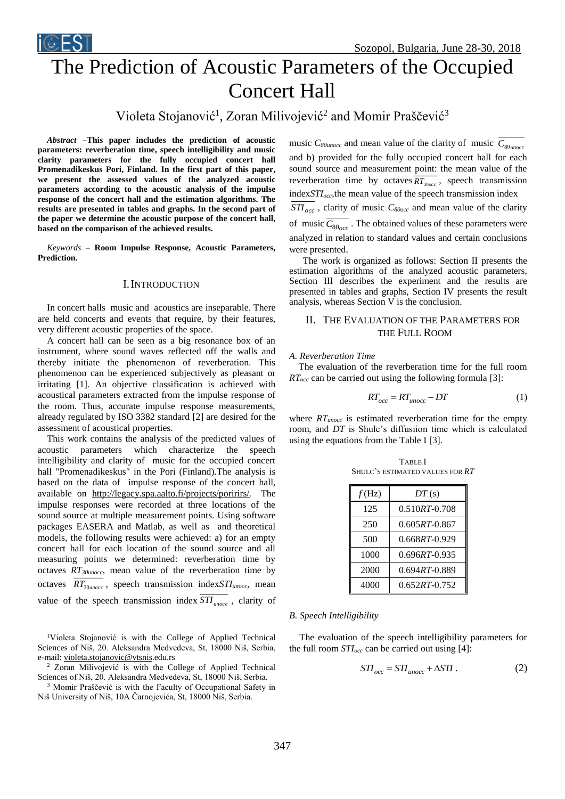

# The Prediction of Acoustic Parameters of the Occupied Concert Hall

Violeta Stojanović<sup>1</sup>, Zoran Milivojević<sup>2</sup> and Momir Praščević<sup>3</sup>

*Abstract –***This paper includes the prediction of acoustic parameters: reverberation time, speech intelligibility and music clarity parameters for the fully occupied concert hall Promenadikeskus Pori, Finland. In the first part of this paper, we present the assessed values of the analyzed acoustic parameters according to the acoustic analysis of the impulse response of the concert hall and the estimation algorithms. The results are presented in tables and graphs. In the second part of the paper we determine the acoustic purpose of the concert hall, based on the comparison of the achieved results.**

*Keywords –* **Room Impulse Response, Acoustic Parameters, Prediction.**

## I.INTRODUCTION

In concert halls music and acoustics are inseparable. There are held concerts and events that require, by their features, very different acoustic properties of the space.

A concert hall can be seen as a big resonance box of an instrument, where sound waves reflected off the walls and thereby initiate the phenomenon of reverberation. This phenomenon can be experienced subjectively as pleasant or irritating [1]. An objective classification is achieved with acoustical parameters extracted from the impulse response of the room. Thus, accurate impulse response measurements, already regulated by ISO 3382 standard [2] are desired for the assessment of acoustical properties.

This work contains the analysis of the predicted values of acoustic parameters which characterize the speech intelligibility and clarity of music for the occupied concert hall "Promenadikeskus" in the Pori (Finland).The analysis is based on the data of impulse response of the concert hall, available on <http://legacy.spa.aalto.fi/projects/poririrs/>. The impulse responses were recorded at three locations of the sound source at multiple measurement points. Using software packages EASERA and Matlab, as well as and theoretical models, the following results were achieved: a) for an empty concert hall for each location of the sound source and all measuring points we determined: reverberation time by octaves *RT30unocc*, mean value of the reverberation time by octaves *RT*<sup>30</sup>*unocc* , speech transmission index*STIunocc*, mean value of the speech transmission index  $STI_{\text{unocc}}$ , clarity of

<sup>1</sup>Violeta Stojanović is with the College of Applied Technical Sciences of Niš, 20. Aleksandra Medvedeva, St, 18000 Niš, Serbia, e-mail[: violeta.stojanovic@vtsnis.e](mailto:violeta.stojanovic@vtsnis)du.rs

<sup>2</sup> Zoran Milivojević is with the College of Applied Technical Sciences of Niš, 20. Aleksandra Medvedeva, St, 18000 Niš, Serbia.

<sup>3</sup> Momir Praščević is with the Faculty of Occupational Safety in Niš University of Niš, 10A Čarnojevića, St, 18000 Niš, Serbia.

music  $C_{80 \text{unocc}}$  and mean value of the clarity of music  $C_{80 \text{unocc}}$ and b) provided for the fully occupied concert hall for each sound source and measurement point: the mean value of the reverberation time by octaves  $\overline{RT_{30\text{occ}}}\$ , speech transmission index*STIocc*,the mean value of the speech transmission index *STI*<sub>occ</sub>, clarity of music *C*<sub>80occ</sub> and mean value of the clarity of music  $C_{80<sub>occ</sub>}$ . The obtained values of these parameters were analyzed in relation to standard values and certain conclusions were presented.

The work is organized as follows: Section II presents the estimation algorithms of the analyzed acoustic parameters, Section III describes the experiment and the results are presented in tables and graphs, Section IV presents the result analysis, whereas Section V is the conclusion.

## II. THE EVALUATION OF THE PARAMETERS FOR THE FULL ROOM

#### *A. Reverberation Time*

The evaluation of the reverberation time for the full room *RTocc* can be carried out using the following formula [3]:

$$
RT_{occ} = RT_{unocc} - DT \tag{1}
$$

where *RTunocc* is estimated reverberation time for the empty room, and *DT* is Shulc's diffusiion time which is calculated using the equations from the Table I [3].

TABLE I SHULC'S ESTIMATED VALUES FOR *RT*

| f(Hz) | DT(s)             |
|-------|-------------------|
| 125   | $0.510RT - 0.708$ |
| 250   | $0.605RT - 0.867$ |
| 500   | $0.668RT - 0.929$ |
| 1000  | $0.696RT - 0.935$ |
| 2000  | $0.694RT - 0.889$ |
| 4000  | $0.652RT - 0.752$ |

### *B. Speech Intelligibility*

The evaluation of the speech intelligibility parameters for the full room *STIocc* can be carried out using [4]:

$$
STI_{occ} = STI_{unocc} + \Delta STI. \qquad (2)
$$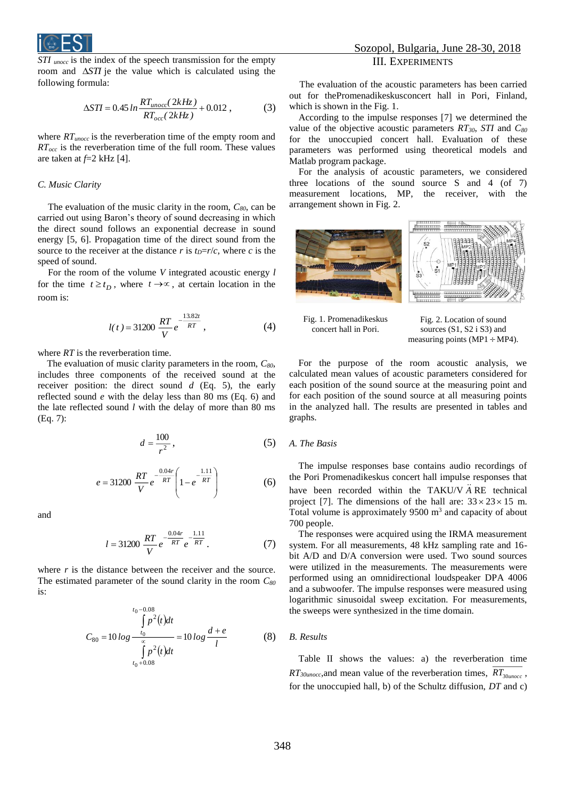

*STI unocc* is the index of the speech transmission for the empty room and  $\Delta STI$  je the value which is calculated using the following formula:

$$
\Delta STI = 0.45 \ln \frac{RT_{unocc}(2kHz)}{RT_{occ}(2kHz)} + 0.012 ,\qquad (3)
$$

where *RTunocc* is the reverberation time of the empty room and *RTocc* is the reverberation time of the full room. These values are taken at *f*=2 kHz [4].

### *C. Music Clarity*

The evaluation of the music clarity in the room, *C80*, can be carried out using Baron's theory of sound decreasing in which the direct sound follows an exponential decrease in sound energy [5, 6]. Propagation time of the direct sound from the source to the receiver at the distance *r* is  $t<sub>D</sub>=r/c$ , where *c* is the speed of sound.

For the room of the volume *V* integrated acoustic energy *l*  for the time  $t \geq t_D$ , where  $t \to \infty$ , at certain location in the room is:

$$
l(t) = 31200 \frac{RT}{V} e^{-\frac{13.82t}{RT}},
$$
 (4)

where *RT* is the reverberation time.

The evaluation of music clarity parameters in the room, *C80*, includes three components of the received sound at the receiver position: the direct sound *d* (Eq. 5), the early reflected sound *e* with the delay less than 80 ms (Eq. 6) and the late reflected sound *l* with the delay of more than 80 ms (Eq. 7):

$$
d = \frac{100}{r^2},\tag{5}
$$

$$
e = 31200 \frac{RT}{V} e^{-\frac{0.04r}{RT}} \left( 1 - e^{-\frac{1.11}{RT}} \right)
$$
 (6)

and

$$
l = 31200 \frac{RT}{V} e^{-\frac{0.04r}{RT}} e^{-\frac{1.11}{RT}}.
$$
 (7)

where *r* is the distance between the receiver and the source. The estimated parameter of the sound clarity in the room *C<sup>80</sup>* is:

$$
C_{80} = 10 \log \frac{\int_{t_0}^{t_0 - 0.08} p^2(t)dt}{\int_{t_0 + 0.08}^{\infty} p^2(t)dt} = 10 \log \frac{d+e}{l}
$$
 (8)

## Sozopol, Bulgaria, June 28-30, 2018 III. EXPERIMENTS

The evaluation of the acoustic parameters has been carried out for thePromenadikeskusconcert hall in Pori, Finland, which is shown in the Fig. 1.

According to the impulse responses [7] we determined the value of the objective acoustic parameters *RT30*, *STI* and *C<sup>80</sup>* for the unoccupied concert hall. Evaluation of these parameters was performed using theoretical models and Matlab program package.

For the analysis of acoustic parameters, we considered three locations of the sound source S and 4 (of 7) measurement locations, MP, the receiver, with the arrangement shown in Fig. 2.





Fig. 2. Location of sound sources (S1, S2 i S3) and measuring points ( $MP1 \div MP4$ ).

For the purpose of the room acoustic analysis, we calculated mean values of acoustic parameters considered for each position of the sound source at the measuring point and for each position of the sound source at all measuring points in the analyzed hall. The results are presented in tables and graphs.

#### *A. The Basis*

The impulse responses base contains audio recordings of the Pori Promenadikeskus concert hall impulse responses that have been recorded within the TAKU/V  $\ddot{A}$  RE technical project [7]. The dimensions of the hall are:  $33 \times 23 \times 15$  m. Total volume is approximately  $9500 \text{ m}^3$  and capacity of about 700 people.

The responses were acquired using the IRMA measurement system. For all measurements, 48 kHz sampling rate and 16 bit A/D and D/A conversion were used. Two sound sources were utilized in the measurements. The measurements were performed using an omnidirectional loudspeaker DPA 4006 and a subwoofer. The impulse responses were measured using logarithmic sinusoidal sweep excitation. For measurements, the sweeps were synthesized in the time domain.

## *B. Results*

Table II shows the values: a) the reverberation time *RT*<sub>30*unocc*, and mean value of the reverberation times,  $RT_{30 \mu nocc}$ ,</sub> for the unoccupied hall, b) of the Schultz diffusion, *DT* and c)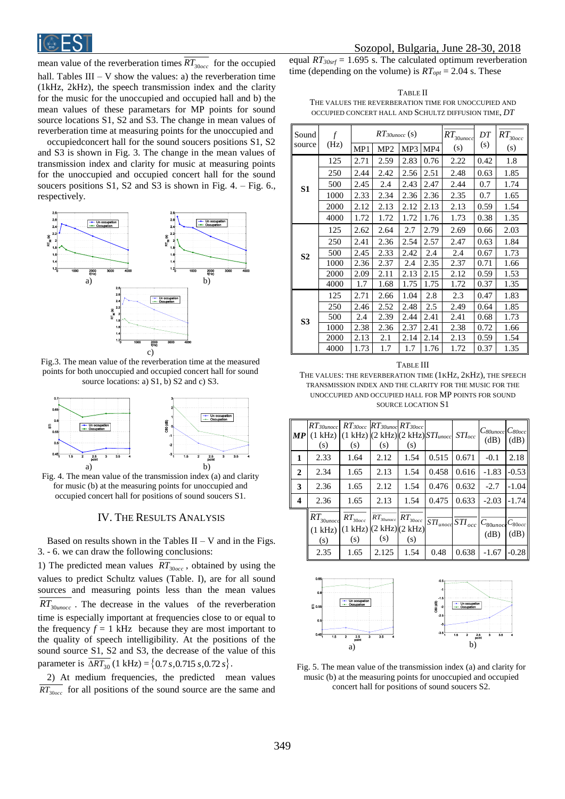

mean value of the reverberation times  $RT_{30000}$  for the occupied hall. Tables  $III - V$  show the values: a) the reverberation time (1kHz, 2kHz), the speech transmission index and the clarity for the music for the unoccupied and occupied hall and b) the mean values of these parametars for MP points for sound source locations S1, S2 and S3. The change in mean values of reverberation time at measuring points for the unoccupied and

occupiedconcert hall for the sound soucers positions S1, S2 and S3 is shown in Fig. 3. The change in the mean values of transmission index and clarity for music at measuring points for the unoccupied and occupied concert hall for the sound soucers positions  $S1$ ,  $S2$  and  $S3$  is shown in Fig. 4. – Fig. 6., respectively.



Fig.3. The mean value of the reverberation time at the measured points for both unoccupied and occupied concert hall for sound source locations: a) S1, b) S2 and c) S3.



Fig. 4. The mean value of the transmission index (a) and clarity for music (b) at the measuring points for unoccupied and occupied concert hall for positions of sound soucers S1.

## IV. THE RESULTS ANALYSIS

Based on results shown in the Tables  $II - V$  and in the Figs. 3. - 6. we can draw the following conclusions:

1) The predicted mean values  $RT_{30<sub>occ</sub>}$ , obtained by using the values to predict Schultz values (Table. I), are for all sound sources and measuring points less than the mean values  $RT_{30 \mu nocc}$ . The decrease in the values of the reverberation time is especially important at frequencies close to or equal to the frequency  $f = 1$  kHz because they are most important to the quality of speech intelligibility. At the positions of the sound source S1, S2 and S3, the decrease of the value of this parameter is  $\Delta RT_{30}$  (1 kHz) = {0.7 *s*, 0.715 *s*, 0.72 *s*}.

2) At medium frequencies, the predicted mean values  $RT_{30000}$  for all positions of the sound source are the same and equal *RT30srf* = 1.695 s. The calculated optimum reverberation time (depending on the volume) is  $RT_{opt} = 2.04$  s. These

TABLE II THE VALUES THE REVERBERATION TIME FOR UNOCCUPIED AND OCCUPIED CONCERT HALL AND SCHULTZ DIFFUSION TIME, *DT*

| Sound          | $\mathcal{f}$ | $RT$ 30unocc $(s)$ |                 |      |      | $RT_{30unocc}$ | DT   | $RT_{30occ}$ |
|----------------|---------------|--------------------|-----------------|------|------|----------------|------|--------------|
| source         | (Hz)          | MP1                | MP <sub>2</sub> | MP3  | MP4  | (s)            | (s)  | (s)          |
|                | 125           | 2.71               | 2.59            | 2.83 | 0.76 | 2.22           | 0.42 | 1.8          |
|                | 250           | 2.44               | 2.42            | 2.56 | 2.51 | 2.48           | 0.63 | 1.85         |
| S <sub>1</sub> | 500           | 2.45               | 2.4             | 2.43 | 2.47 | 2.44           | 0.7  | 1.74         |
|                | 1000          | 2.33               | 2.34            | 2.36 | 2.36 | 2.35           | 0.7  | 1.65         |
|                | 2000          | 2.12               | 2.13            | 2.12 | 2.13 | 2.13           | 0.59 | 1.54         |
|                | 4000          | 1.72               | 1.72            | 1.72 | 1.76 | 1.73           | 0.38 | 1.35         |
|                | 125           | 2.62               | 2.64            | 2.7  | 2.79 | 2.69           | 0.66 | 2.03         |
|                | 250           | 2.41               | 2.36            | 2.54 | 2.57 | 2.47           | 0.63 | 1.84         |
| S <sub>2</sub> | 500           | 2.45               | 2.33            | 2.42 | 2.4  | 2.4            | 0.67 | 1.73         |
|                | 1000          | 2.36               | 2.37            | 2.4  | 2.35 | 2.37           | 0.71 | 1.66         |
|                | 2000          | 2.09               | 2.11            | 2.13 | 2.15 | 2.12           | 0.59 | 1.53         |
|                | 4000          | 1.7                | 1.68            | 1.75 | 1.75 | 1.72           | 0.37 | 1.35         |
|                | 125           | 2.71               | 2.66            | 1.04 | 2.8  | 2.3            | 0.47 | 1.83         |
|                | 250           | 2.46               | 2.52            | 2.48 | 2.5  | 2.49           | 0.64 | 1.85         |
| S3             | 500           | 2.4                | 2.39            | 2.44 | 2.41 | 2.41           | 0.68 | 1.73         |
|                | 1000          | 2.38               | 2.36            | 2.37 | 2.41 | 2.38           | 0.72 | 1.66         |
|                | 2000          | 2.13               | 2.1             | 2.14 | 2.14 | 2.13           | 0.59 | 1.54         |
|                | 4000          | 1.73               | 1.7             | 1.7  | 1.76 | 1.72           | 0.37 | 1.35         |

#### TABLE III

THE VALUES: THE REVERBERATION TIME (1KHZ, 2KHZ), THE SPEECH TRANSMISSION INDEX AND THE CLARITY FOR THE MUSIC FOR THE UNOCCUPIED AND OCCUPIED HALL FOR MP POINTS FOR SOUND SOURCE LOCATION S1

| MP | $RT$ 30 $unocc$<br>(s)           | $(1 kHz)$ $(1 kHz)$ $(2 kHz)$ $(2 kHz)$ $STI$ <sub>unocc</sub> $STI_{occ}$<br>(s) | $RT_{30occ}$ $RT_{30unoc}$ $RT_{30occ}$<br>(s) | (s)                 |                          |             | $C$ 80 $\mu$ nocc $C$ 80 $\sigma$ cc<br>(dB) | (dB)    |
|----|----------------------------------|-----------------------------------------------------------------------------------|------------------------------------------------|---------------------|--------------------------|-------------|----------------------------------------------|---------|
| 1  | 2.33                             | 1.64                                                                              | 2.12                                           | 1.54                | 0.515                    | 0.671       | $-0.1$                                       | 2.18    |
| 2  | 2.34                             | 1.65                                                                              | 2.13                                           | 1.54                | 0.458                    | 0.616       | $-1.83$                                      | $-0.53$ |
| 3  | 2.36                             | 1.65                                                                              | 2.12                                           | 1.54                | 0.476                    | 0.632       | $-2.7$                                       | $-1.04$ |
| 4  | 2.36                             | 1.65                                                                              | 2.13                                           | 1.54                | 0.475                    | 0.633       | $-2.03$                                      | $-1.74$ |
|    | $RT_{30unocd}$<br>(1 kHz)<br>(s) | $RT_{30occ}$<br>(1 kHz)<br>(s)                                                    | $RT_{30unocc}$<br>(2 kHz)(2 kHz)<br>(s)        | $RT_{30occ}$<br>(s) | $\overline{STI}_{unocc}$ | $STI_{occ}$ | $C_{80unoc}$ $C_{80occ}$<br>(dB)             | (dB)    |
|    | 2.35                             | 1.65                                                                              | 2.125                                          | 1.54                | 0.48                     | 0.638       | $-1.67$                                      | $-0.28$ |



Fig. 5. The mean value of the transmission index (a) and clarity for music (b) at the measuring points for unoccupied and occupied concert hall for positions of sound soucers S2.